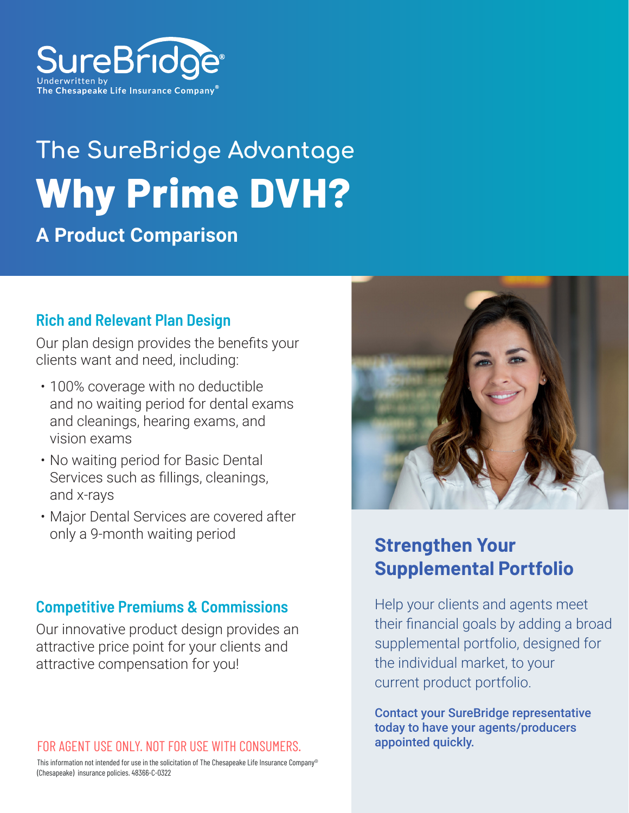

# **The SureBridge Advantage Why Prime DVH?**

## **A Product Comparison**

#### **Rich and Relevant Plan Design**

Our plan design provides the benefits your clients want and need, including:

- 100% coverage with no deductible and no waiting period for dental exams and cleanings, hearing exams, and vision exams
- No waiting period for Basic Dental Services such as fillings, cleanings, and x-rays
- Major Dental Services are covered after only a 9-month waiting period

#### **Competitive Premiums & Commissions**

Our innovative product design provides an attractive price point for your clients and attractive compensation for you!

#### FOR AGENT USE ONLY. NOT FOR USE WITH CONSUMERS.

This information not intended for use in the solicitation of The Chesapeake Life Insurance Company® (Chesapeake) insurance policies. 48366-C-0322



### **Strengthen Your Supplemental Portfolio**

Help your clients and agents meet their financial goals by adding a broad supplemental portfolio, designed for the individual market, to your current product portfolio.

Contact your SureBridge representative today to have your agents/producers appointed quickly.